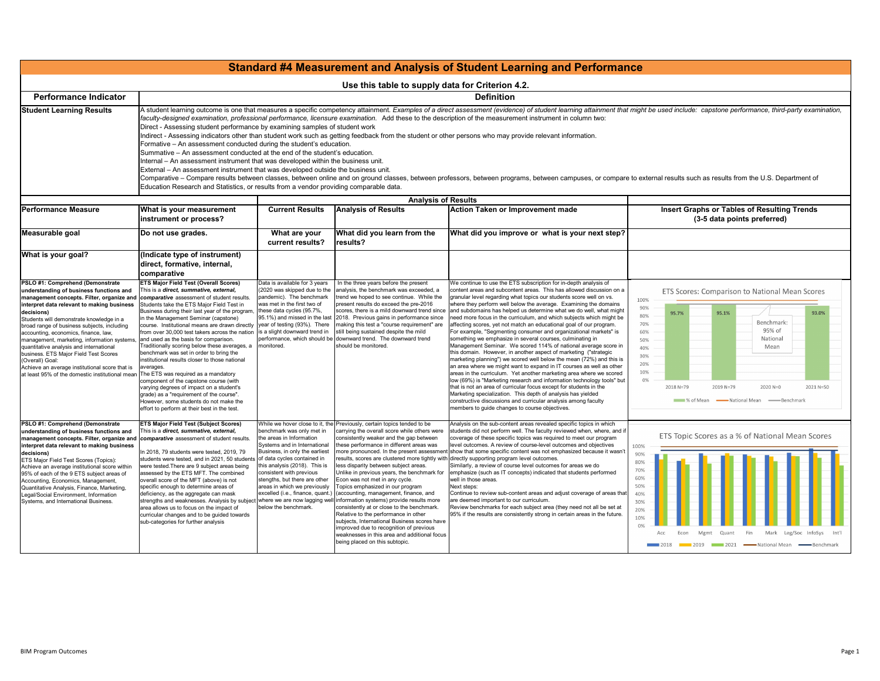

| <b>Standard #4 Measurement and Analysis of Student Learning and Perform</b>                                                                                                                                                                                                                                                                                                                                                                                                                                                                                                        |                                                                                                                                                                                                                                                                                                                                                                                                                                                                                                                                                                                                                                                                                                                                                                                                                                                                                                                                                                                                                                                                                                                                              |                                                                                                                                                                                                                                                                                                                                                                                   |                                                                                                                                                                                                                                                                                                                                                                                                                                                                                                                                                                                                                                                                                                                                       |                                                                                                                                                                                                                                                                                                                                                                                                                                                                                                                                                                                                                                                                                                                                                                                                                                                                                                                                                                                                                                                                                                                                                                                                                                                              |  |  |
|------------------------------------------------------------------------------------------------------------------------------------------------------------------------------------------------------------------------------------------------------------------------------------------------------------------------------------------------------------------------------------------------------------------------------------------------------------------------------------------------------------------------------------------------------------------------------------|----------------------------------------------------------------------------------------------------------------------------------------------------------------------------------------------------------------------------------------------------------------------------------------------------------------------------------------------------------------------------------------------------------------------------------------------------------------------------------------------------------------------------------------------------------------------------------------------------------------------------------------------------------------------------------------------------------------------------------------------------------------------------------------------------------------------------------------------------------------------------------------------------------------------------------------------------------------------------------------------------------------------------------------------------------------------------------------------------------------------------------------------|-----------------------------------------------------------------------------------------------------------------------------------------------------------------------------------------------------------------------------------------------------------------------------------------------------------------------------------------------------------------------------------|---------------------------------------------------------------------------------------------------------------------------------------------------------------------------------------------------------------------------------------------------------------------------------------------------------------------------------------------------------------------------------------------------------------------------------------------------------------------------------------------------------------------------------------------------------------------------------------------------------------------------------------------------------------------------------------------------------------------------------------|--------------------------------------------------------------------------------------------------------------------------------------------------------------------------------------------------------------------------------------------------------------------------------------------------------------------------------------------------------------------------------------------------------------------------------------------------------------------------------------------------------------------------------------------------------------------------------------------------------------------------------------------------------------------------------------------------------------------------------------------------------------------------------------------------------------------------------------------------------------------------------------------------------------------------------------------------------------------------------------------------------------------------------------------------------------------------------------------------------------------------------------------------------------------------------------------------------------------------------------------------------------|--|--|
|                                                                                                                                                                                                                                                                                                                                                                                                                                                                                                                                                                                    | Use this table to supply data for Criterion 4.2.                                                                                                                                                                                                                                                                                                                                                                                                                                                                                                                                                                                                                                                                                                                                                                                                                                                                                                                                                                                                                                                                                             |                                                                                                                                                                                                                                                                                                                                                                                   |                                                                                                                                                                                                                                                                                                                                                                                                                                                                                                                                                                                                                                                                                                                                       |                                                                                                                                                                                                                                                                                                                                                                                                                                                                                                                                                                                                                                                                                                                                                                                                                                                                                                                                                                                                                                                                                                                                                                                                                                                              |  |  |
| <b>Performance Indicator</b>                                                                                                                                                                                                                                                                                                                                                                                                                                                                                                                                                       | <b>Definition</b>                                                                                                                                                                                                                                                                                                                                                                                                                                                                                                                                                                                                                                                                                                                                                                                                                                                                                                                                                                                                                                                                                                                            |                                                                                                                                                                                                                                                                                                                                                                                   |                                                                                                                                                                                                                                                                                                                                                                                                                                                                                                                                                                                                                                                                                                                                       |                                                                                                                                                                                                                                                                                                                                                                                                                                                                                                                                                                                                                                                                                                                                                                                                                                                                                                                                                                                                                                                                                                                                                                                                                                                              |  |  |
| <b>Student Learning Results</b>                                                                                                                                                                                                                                                                                                                                                                                                                                                                                                                                                    | A student learning outcome is one that measures a specific competency attainment. Examples of a direct assessment (evidence) of student learning attainm<br>faculty-designed examination, professional performance, licensure examination. Add these to the description of the measurement instrument in column two:<br>Direct - Assessing student performance by examining samples of student work<br>Indirect - Assessing indicators other than student work such as getting feedback from the student or other persons who may provide relevant information.<br>Formative – An assessment conducted during the student's education.<br>Summative – An assessment conducted at the end of the student's education.<br>Internal – An assessment instrument that was developed within the business unit.<br>External – An assessment instrument that was developed outside the business unit.<br>Comparative – Compare results between classes, between online and on ground classes, between professors, between programs, between campuses, or c<br>Education Research and Statistics, or results from a vendor providing comparable data. |                                                                                                                                                                                                                                                                                                                                                                                   |                                                                                                                                                                                                                                                                                                                                                                                                                                                                                                                                                                                                                                                                                                                                       |                                                                                                                                                                                                                                                                                                                                                                                                                                                                                                                                                                                                                                                                                                                                                                                                                                                                                                                                                                                                                                                                                                                                                                                                                                                              |  |  |
|                                                                                                                                                                                                                                                                                                                                                                                                                                                                                                                                                                                    | <b>Analysis of Results</b>                                                                                                                                                                                                                                                                                                                                                                                                                                                                                                                                                                                                                                                                                                                                                                                                                                                                                                                                                                                                                                                                                                                   |                                                                                                                                                                                                                                                                                                                                                                                   |                                                                                                                                                                                                                                                                                                                                                                                                                                                                                                                                                                                                                                                                                                                                       |                                                                                                                                                                                                                                                                                                                                                                                                                                                                                                                                                                                                                                                                                                                                                                                                                                                                                                                                                                                                                                                                                                                                                                                                                                                              |  |  |
| <b>Performance Measure</b>                                                                                                                                                                                                                                                                                                                                                                                                                                                                                                                                                         | What is your measurement<br>instrument or process?                                                                                                                                                                                                                                                                                                                                                                                                                                                                                                                                                                                                                                                                                                                                                                                                                                                                                                                                                                                                                                                                                           | <b>Current Results</b>                                                                                                                                                                                                                                                                                                                                                            | <b>Analysis of Results</b>                                                                                                                                                                                                                                                                                                                                                                                                                                                                                                                                                                                                                                                                                                            | <b>Action Taken or Improvement made</b>                                                                                                                                                                                                                                                                                                                                                                                                                                                                                                                                                                                                                                                                                                                                                                                                                                                                                                                                                                                                                                                                                                                                                                                                                      |  |  |
| Measurable goal                                                                                                                                                                                                                                                                                                                                                                                                                                                                                                                                                                    | Do not use grades.                                                                                                                                                                                                                                                                                                                                                                                                                                                                                                                                                                                                                                                                                                                                                                                                                                                                                                                                                                                                                                                                                                                           | What are your<br>current results?                                                                                                                                                                                                                                                                                                                                                 | What did you learn from the<br>results?                                                                                                                                                                                                                                                                                                                                                                                                                                                                                                                                                                                                                                                                                               | What did you improve or what is your next                                                                                                                                                                                                                                                                                                                                                                                                                                                                                                                                                                                                                                                                                                                                                                                                                                                                                                                                                                                                                                                                                                                                                                                                                    |  |  |
| What is your goal?                                                                                                                                                                                                                                                                                                                                                                                                                                                                                                                                                                 | (Indicate type of instrument)<br>direct, formative, internal,<br>comparative                                                                                                                                                                                                                                                                                                                                                                                                                                                                                                                                                                                                                                                                                                                                                                                                                                                                                                                                                                                                                                                                 |                                                                                                                                                                                                                                                                                                                                                                                   |                                                                                                                                                                                                                                                                                                                                                                                                                                                                                                                                                                                                                                                                                                                                       |                                                                                                                                                                                                                                                                                                                                                                                                                                                                                                                                                                                                                                                                                                                                                                                                                                                                                                                                                                                                                                                                                                                                                                                                                                                              |  |  |
| PSLO #1: Comprehend (Demonstrate<br>understanding of business functions and<br>management concepts. Filter, organize and<br>interpret data relevant to making business<br>decisions)<br>Students will demonstrate knowledge in a<br>broad range of business subjects, including<br>accounting, economics, finance, law,<br>management, marketing, information systems,<br>quantitative analysis and international<br>business. ETS Major Field Test Scores<br>(Overall) Goal:<br>Achieve an average institutional score that is<br>at least 95% of the domestic institutional mean | <b>ETS Major Field Test (Overall Scores)</b><br>This is a <i>direct, summative, external,</i><br>comparative assessment of student results.<br>Students take the ETS Major Field Test in<br>Business during their last year of the program,<br>in the Management Seminar (capstone)<br>course. Institutional means are drawn directly year of testing (93%). There<br>from over 30,000 test takers across the nation   is a slight downward trend in<br>and used as the basis for comparison.<br>Traditionally scoring below these averages, a<br>benchmark was set in order to bring the<br>institutional results closer to those national<br>averages.<br>The ETS was required as a mandatory<br>component of the capstone course (with<br>varying degrees of impact on a student's<br>grade) as a "requirement of the course".<br>However, some students do not make the<br>effort to perform at their best in the test.                                                                                                                                                                                                                  | Data is available for 3 years<br>(2020 was skipped due to the<br>pandemic). The benchmark<br>was met in the first two of<br>these data cycles (95.7%,<br>95.1%) and missed in the last<br>monitored.                                                                                                                                                                              | In the three years before the present<br>analysis, the benchmark was exceeded, a<br>trend we hoped to see continue. While the<br>present results do exceed the pre-2016<br>scores, there is a mild downward trend since<br>2018. Previous gains in performance since<br>making this test a "course requirement" are<br>still being sustained despite the mild<br>performance, which should be downward trend. The downward trend<br>should be monitored.                                                                                                                                                                                                                                                                              | We continue to use the ETS subscription for in-depth analysis of<br>content areas and subcontent areas. This has allowed discussi<br>granular level regarding what topics our students score well on<br>where they perform well below the average. Examining the do<br>and subdomains has helped us determine what we do well, what<br>need more focus in the curriculum, and which subjects which m<br>affecting scores, yet not match an educational goal of our prog<br>For example, "Segmenting consumer and organizational marke<br>something we emphasize in several courses, culminating in<br>Management Seminar. We scored 114% of national average s<br>this domain. However, in another aspect of marketing ("strate<br>marketing planning") we scored well below the mean (72%) and<br>an area where we might want to expand in IT courses as well a<br>areas in the curriculum. Yet another marketing area where we<br>low (69%) is "Marketing research and information technology to<br>that is not an area of curricular focus except for students in the<br>Marketing specialization. This depth of analysis has yielded<br>constructive discussions and curricular analysis among faculty<br>members to guide changes to course objectives. |  |  |
| <b>PSLO #1: Comprehend (Demonstrate</b><br>understanding of business functions and<br>management concepts. Filter, organize and<br>interpret data relevant to making business<br>decisions)<br><b>ETS Major Field Test Scores (Topics):</b><br>Achieve an average institutional score within<br>95% of each of the 9 ETS subject areas of<br>Accounting, Economics, Management,<br>Quantitative Analysis, Finance, Marketing,<br>Legal/Social Environment, Information<br>Systems, and International Business.                                                                     | <b>ETS Major Field Test (Subject Scores)</b><br>This is a direct, summative, external,<br>comparative assessment of student results.<br>In 2018, 79 students were tested, 2019, 79<br>students were tested, and in 2021, 50 students<br>were tested. There are 9 subject areas being<br>assessed by the ETS MFT. The combined<br>overall score of the MFT (above) is not<br>specific enough to determine areas of<br>deficiency, as the aggregate can mask<br>strengths and weaknesses. Analysis by subject<br>area allows us to focus on the impact of<br>curricular changes and to be guided towards<br>sub-categories for further analysis                                                                                                                                                                                                                                                                                                                                                                                                                                                                                                | benchmark was only met in<br>the areas in Information<br>Systems and in International<br>Business, in only the earliest<br>of data cycles contained in<br>this analysis (2018). This is<br>consistent with previous<br>stengths, but there are other<br>areas in which we previously<br>excelled (i.e., finance, quant.)<br>where we are now lagging well<br>below the benchmark. | While we hover close to it, the Previously, certain topics tended to be<br>carrying the overall score while others were<br>consistently weaker and the gap between<br>these performance in different areas was<br>less disparity between subject areas.<br>Unlike in previous years, the benchmark for<br>Econ was not met in any cycle.<br>Topics emphasized in our program<br>(accounting, management, finance, and<br>information systems) provide results more<br>consistently at or close to the benchmark.<br>Relative to the performance in other<br>subjects, International Business scores have<br>improved due to recognition of previous<br>weaknesses in this area and additional focus<br>being placed on this subtopic. | Analysis on the sub-content areas revealed specific topics in w<br>students did not perform well. The faculty reviewed when, where<br>coverage of these specific topics was required to meet our prog<br>level outcomes. A review of course-level outcomes and objecti<br>more pronounced. In the present assessment show that some specific content was not emphasized because<br>results, scores are clustered more tightly with directly supporting program level outcomes.<br>Similarly, a review of course level outcomes for areas we do<br>emphasize (such as IT concepts) indicated that students perfor<br>well in those areas.<br>Next steps:<br>Continue to review sub-content areas and adjust coverage of a<br>are deemed important to our curriculum.<br>Review benchmarks for each subject area (they need not all be<br>95% if the results are consistently strong in certain areas in the                                                                                                                                                                                                                                                                                                                                                   |  |  |

## **and Performance**

I learning attainment that might be used include: capstone performance, third-party examination,

## i campuses, or compare to external results such as results from the U.S. Department of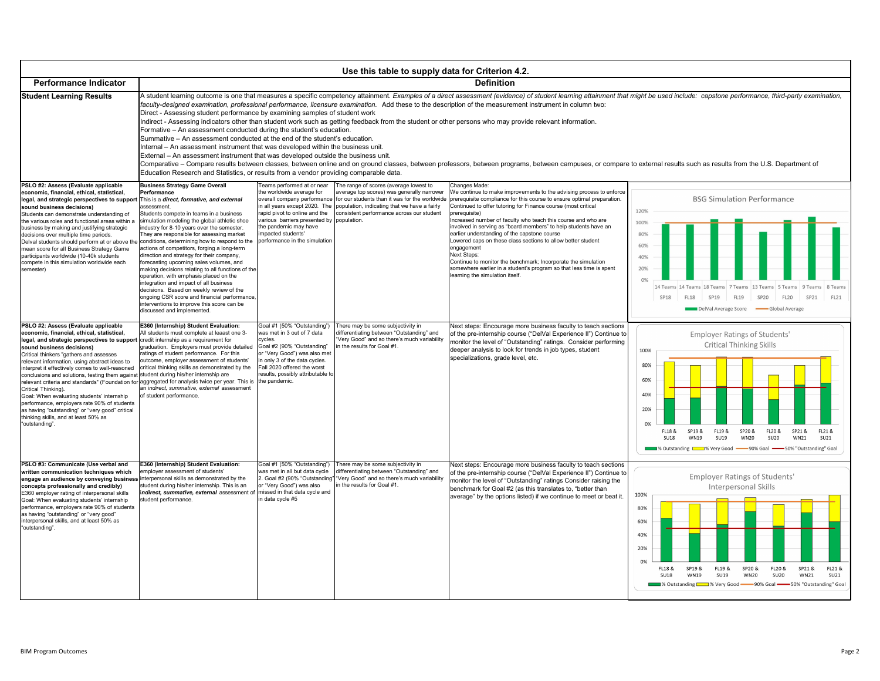| <b>Performance Indicator</b>                                                                                                                                                                                                                                                                                                                                                                                                                                                                                                                                                                                                                                                            |                                                                                                                                                                                                                                                                                                                                                                                                                                                                                                                                                                                                                                                                                                                                                                                                                                                                                                                                                                                                                                                                                                                                              |                                                                                                                                                                                                                                                        | Use this table to supply data for Criterion 4.2.                                                                                                                                             | <b>Definition</b>                                                                                                                                                                                                                                                                                                                                                                                                                                                                                                                                                                                                                                                                                                                                                  |  |  |
|-----------------------------------------------------------------------------------------------------------------------------------------------------------------------------------------------------------------------------------------------------------------------------------------------------------------------------------------------------------------------------------------------------------------------------------------------------------------------------------------------------------------------------------------------------------------------------------------------------------------------------------------------------------------------------------------|----------------------------------------------------------------------------------------------------------------------------------------------------------------------------------------------------------------------------------------------------------------------------------------------------------------------------------------------------------------------------------------------------------------------------------------------------------------------------------------------------------------------------------------------------------------------------------------------------------------------------------------------------------------------------------------------------------------------------------------------------------------------------------------------------------------------------------------------------------------------------------------------------------------------------------------------------------------------------------------------------------------------------------------------------------------------------------------------------------------------------------------------|--------------------------------------------------------------------------------------------------------------------------------------------------------------------------------------------------------------------------------------------------------|----------------------------------------------------------------------------------------------------------------------------------------------------------------------------------------------|--------------------------------------------------------------------------------------------------------------------------------------------------------------------------------------------------------------------------------------------------------------------------------------------------------------------------------------------------------------------------------------------------------------------------------------------------------------------------------------------------------------------------------------------------------------------------------------------------------------------------------------------------------------------------------------------------------------------------------------------------------------------|--|--|
| <b>Student Learning Results</b>                                                                                                                                                                                                                                                                                                                                                                                                                                                                                                                                                                                                                                                         | A student learning outcome is one that measures a specific competency attainment. Examples of a direct assessment (evidence) of student learning attainm<br>faculty-designed examination, professional performance, licensure examination. Add these to the description of the measurement instrument in column two:<br>Direct - Assessing student performance by examining samples of student work<br>Indirect - Assessing indicators other than student work such as getting feedback from the student or other persons who may provide relevant information.<br>Formative – An assessment conducted during the student's education.<br>Summative – An assessment conducted at the end of the student's education.<br>Internal – An assessment instrument that was developed within the business unit.<br>External – An assessment instrument that was developed outside the business unit.<br>Comparative – Compare results between classes, between online and on ground classes, between professors, between programs, between campuses, or c<br>Education Research and Statistics, or results from a vendor providing comparable data. |                                                                                                                                                                                                                                                        |                                                                                                                                                                                              |                                                                                                                                                                                                                                                                                                                                                                                                                                                                                                                                                                                                                                                                                                                                                                    |  |  |
| PSLO #2: Assess (Evaluate applicable<br>economic, financial, ethical, statistical,<br>legal, and strategic perspectives to support<br>sound business decisions)<br>Students can demonstrate understanding of<br>the various roles and functional areas within a<br>business by making and justifying strategic<br>decisions over multiple time periods.<br>Delval students should perform at or above the<br>mean score for all Business Strategy Game<br>participants worldwide (10-40k students<br>compete in this simulation worldwide each<br>semester)                                                                                                                             | <b>Business Strategy Game Overall</b><br>Performance<br>This is a direct, formative, and external<br>assessment.<br>Students compete in teams in a business<br>simulation modeling the global athletic shoe<br>industry for 8-10 years over the semester.<br>They are responsible for assessing market<br>conditions, determining how to respond to the<br>actions of competitors, forging a long-term<br>direction and strategy for their company,<br>forecasting upcoming sales volumes, and<br>making decisions relating to all functions of the<br>operation, with emphasis placed on the<br>integration and impact of all business<br>decisions. Based on weekly review of the<br>ongoing CSR score and financial performance,<br>interventions to improve this score can be<br>discussed and implemented.                                                                                                                                                                                                                                                                                                                              | Teams performed at or near<br>the worldwide average for<br>in all years except 2020. The<br>rapid pivot to online and the<br>various barriers presented by population.<br>the pandemic may have<br>impacted students'<br>performance in the simulation | The range of scores (average lowest to<br>average top scores) was generally narrower<br>population, indicating that we have a fairly<br>consistent performance across our student            | Changes Made:<br>We continue to make improvements to the advising process to<br>overall company performance for our students than it was for the worldwide prerequisite compliance for this course to ensure optimal prepa<br>Continued to offer tutoring for Finance course (most critical<br>prerequisite)<br>Increased number of faculty who teach this course and who are<br>involved in serving as "board members" to help students have<br>earlier understanding of the capstone course<br>Lowered caps on these class sections to allow better student<br>engagement<br>Next Steps:<br>Continue to monitor the benchmark; Incorporate the simulation<br>somewhere earlier in a student's program so that less time is sp<br>learning the simulation itself. |  |  |
| PSLO #2: Assess (Evaluate applicable<br>economic, financial, ethical, statistical,<br>l <b>egal, and strategic perspectives to support</b> credit internship as a requirement for<br>sound business decisions)<br>Critical thinkers "gathers and assesses<br>relevant information, using abstract ideas to<br>interpret it effectively comes to well-reasoned<br>conclusions and solutions, testing them against student during his/her internship are<br>Critical Thinking).<br>Goal: When evaluating students' internship<br>performance, employers rate 90% of students<br>as having "outstanding" or "very good" critical<br>thinking skills, and at least 50% as<br>"outstanding". | E360 (Internship) Student Evaluation:<br>All students must complete at leaast one 3-<br>graduation. Employers must provide detailed<br>ratings of student performance. For this<br>outcome, employer assessment of students'<br>critical thinking skills as demonstrated by the<br>relevant criteria and standards" (Foundation for aggregated for analysis twice per year. This is the pandemic.<br>an indirect, summative, external assessment<br>of student performance.                                                                                                                                                                                                                                                                                                                                                                                                                                                                                                                                                                                                                                                                  | Goal #1 (50% "Outstanding")<br>was met in 3 out of 7 data<br>cycles.<br>Goal #2 (90% "Outstanding"<br>or "Very Good") was also met<br>in only 3 of the data cycles.<br>Fall 2020 offered the worst<br>results, possibly attributable to                | There may be some subjectivity in<br>differentiating between "Outstanding" and<br>"Very Good" and so there's much variability<br>in the results for Goal #1.                                 | Next steps: Encourage more business faculty to teach so<br>of the pre-internship course ("DelVal Experience II") Con<br>monitor the level of "Outstanding" ratings. Consider perf<br>deeper analysis to look for trends in job types, student<br>specializations, grade level, etc.                                                                                                                                                                                                                                                                                                                                                                                                                                                                                |  |  |
| PSLO #3: Communicate (Use verbal and<br>written communication techniques which<br>engage an audience by conveying business interpersonal skills as demonstrated by the<br>concepts professionally and credibly)<br>E360 employer rating of interpersonal skills<br>Goal: When evaluating students' internship<br>performance, employers rate 90% of students<br>as having "outstanding" or "very good"<br>interpersonal skills, and at least 50% as<br>"outstanding".                                                                                                                                                                                                                   | E360 (Internship) Student Evaluation:<br>employer assessment of students'<br>student during his/her internship. This is an<br>indirect, summative, external assessment of<br>student performance.                                                                                                                                                                                                                                                                                                                                                                                                                                                                                                                                                                                                                                                                                                                                                                                                                                                                                                                                            | Goal #1 (50% "Outstanding")<br>was met in all but data cycle<br>or "Very Good") was also<br>missed in that data cycle and<br>in data cycle #5                                                                                                          | There may be some subjectivity in<br>differentiating between "Outstanding" and<br>2. Goal #2 (90% "Outstanding"   "Very Good" and so there's much variability<br>in the results for Goal #1. | Next steps: Encourage more business faculty to teach so<br>of the pre-internship course ("DelVal Experience II") Con<br>monitor the level of "Outstanding" ratings Consider raisir<br>benchmark for Goal #2 (as this translates to, "better thar<br>average" by the options listed) if we continue to meet or                                                                                                                                                                                                                                                                                                                                                                                                                                                      |  |  |

learning attainment that might be used include: capstone performance, third-party examination,



## campuses, or compare to external results such as results from the U.S. Department of